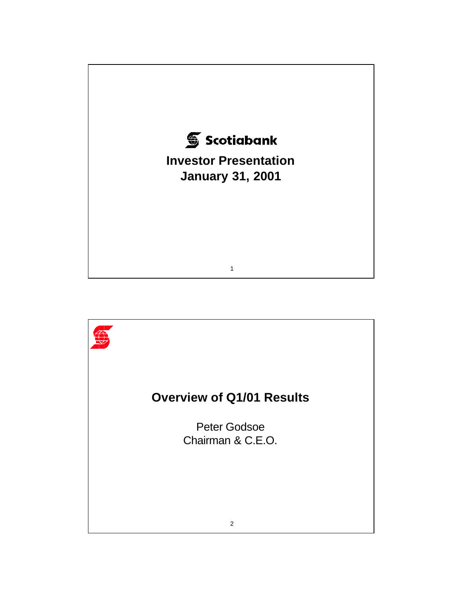

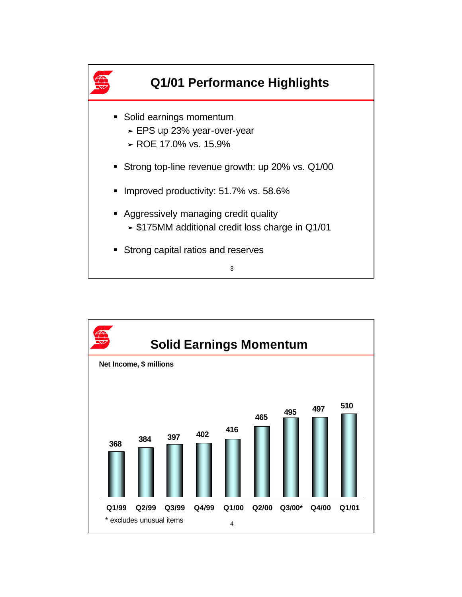

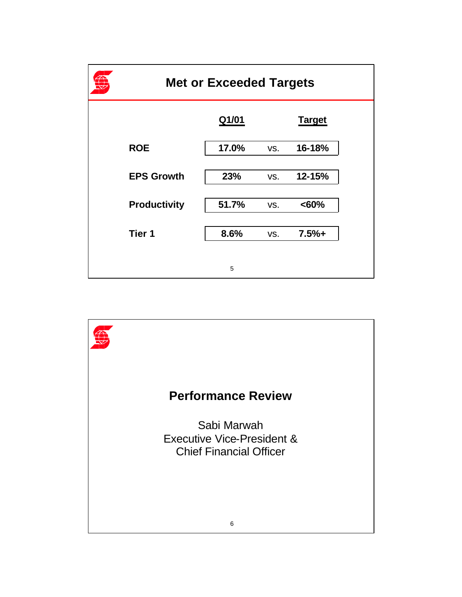| <b>Met or Exceeded Targets</b> |       |     |               |  |  |
|--------------------------------|-------|-----|---------------|--|--|
|                                | Q1/01 |     | <b>Target</b> |  |  |
| <b>ROE</b>                     | 17.0% | VS. | 16-18%        |  |  |
| <b>EPS Growth</b>              | 23%   | VS. | 12-15%        |  |  |
| <b>Productivity</b>            | 51.7% | VS. | <60%          |  |  |
| Tier 1                         | 8.6%  | VS. | $7.5%+$       |  |  |
|                                | 5     |     |               |  |  |

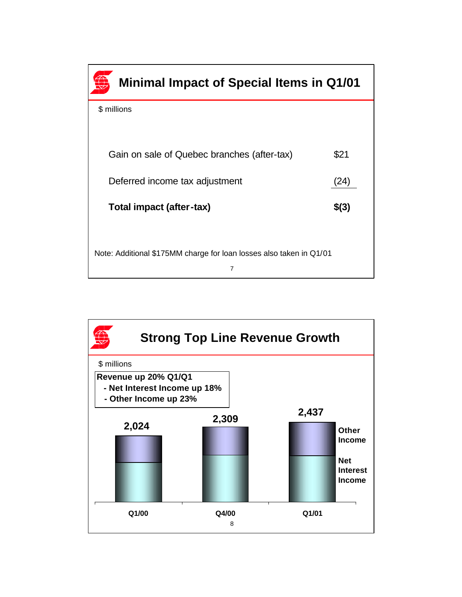

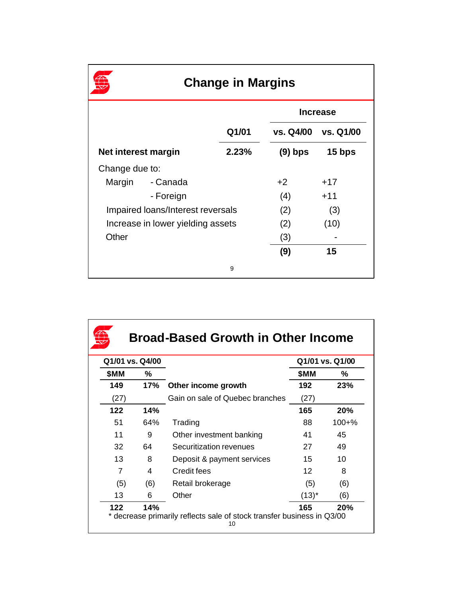| <b>Change in Margins</b>          |           |       |                 |           |  |
|-----------------------------------|-----------|-------|-----------------|-----------|--|
|                                   |           |       | <b>Increase</b> |           |  |
|                                   |           | Q1/01 | vs. Q4/00       | vs. Q1/00 |  |
| Net interest margin               |           | 2.23% | $(9)$ bps       | 15 bps    |  |
| Change due to:                    |           |       |                 |           |  |
| Margin                            | - Canada  |       | $+2$            | $+17$     |  |
|                                   | - Foreign |       | (4)             | $+11$     |  |
| Impaired loans/Interest reversals |           |       | (2)             | (3)       |  |
| Increase in lower yielding assets |           | (2)   | (10)            |           |  |
| Other                             |           |       | (3)             |           |  |
|                                   |           |       | (9)             | 15        |  |
|                                   |           | 9     |                 |           |  |

| Q1/01 vs. Q4/00 |     |                                 | Q1/01 vs. Q1/00 |            |
|-----------------|-----|---------------------------------|-----------------|------------|
| \$MM            | ℅   |                                 | \$MM            | ℅          |
| 149             | 17% | Other income growth             | 192             | 23%        |
| (27)            |     | Gain on sale of Quebec branches | (27)            |            |
| 122             | 14% |                                 | 165             | 20%        |
| 51              | 64% | Trading                         | 88              | $100 + \%$ |
| 11              | 9   | Other investment banking        | 41              | 45         |
| 32              | 64  | Securitization revenues         | 27              | 49         |
| 13              | 8   | Deposit & payment services      | 15              | 10         |
| 7               | 4   | Credit fees                     | 12              | 8          |
| (5)             | (6) | Retail brokerage                | (5)             | (6)        |
| 13              | 6   | Other                           | $(13)^{*}$      | (6)        |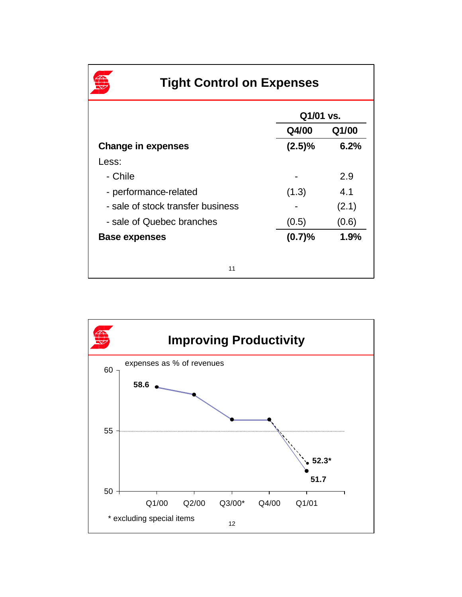|                                   | Q1/01 vs.      |       |  |
|-----------------------------------|----------------|-------|--|
|                                   | Q4/00<br>Q1/00 |       |  |
| <b>Change in expenses</b>         | (2.5)%         | 6.2%  |  |
| Less:                             |                |       |  |
| - Chile                           |                | 2.9   |  |
| - performance-related             | (1.3)          | 4.1   |  |
| - sale of stock transfer business |                | (2.1) |  |
| - sale of Quebec branches         | (0.5)          | (0.6) |  |
| <b>Base expenses</b>              | (0.7)%         | 1.9%  |  |

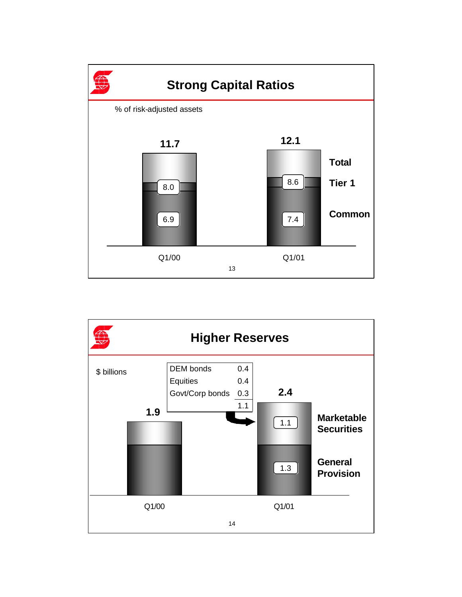

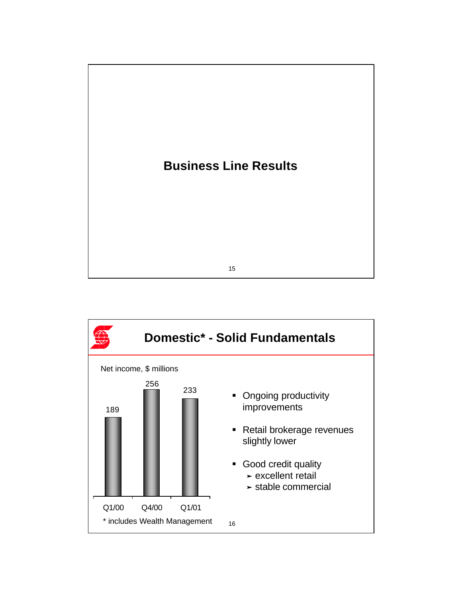

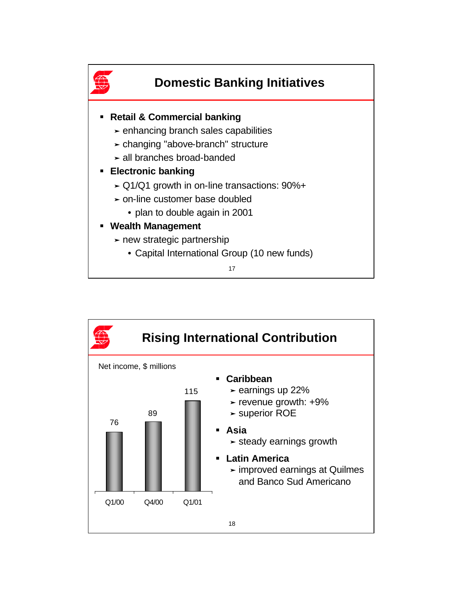

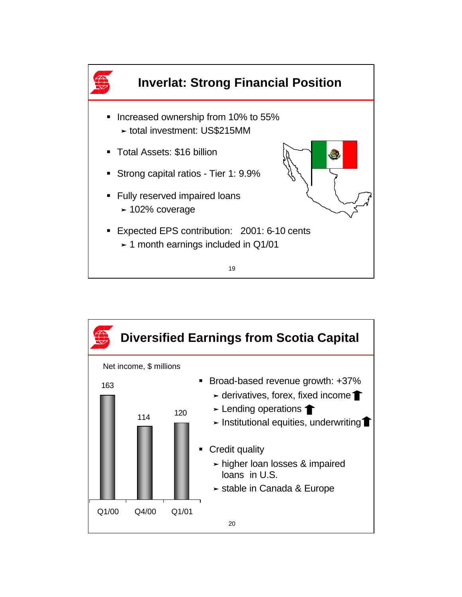

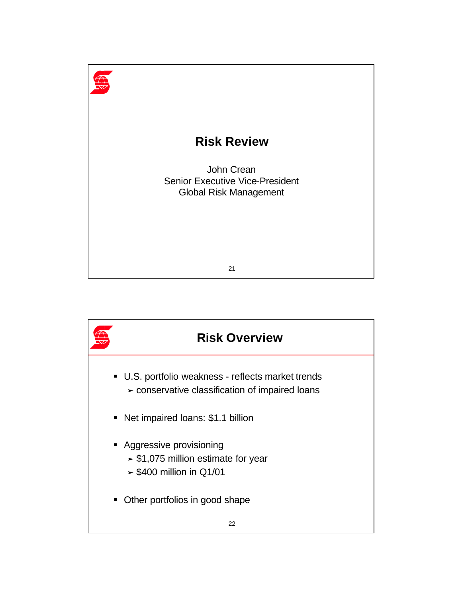

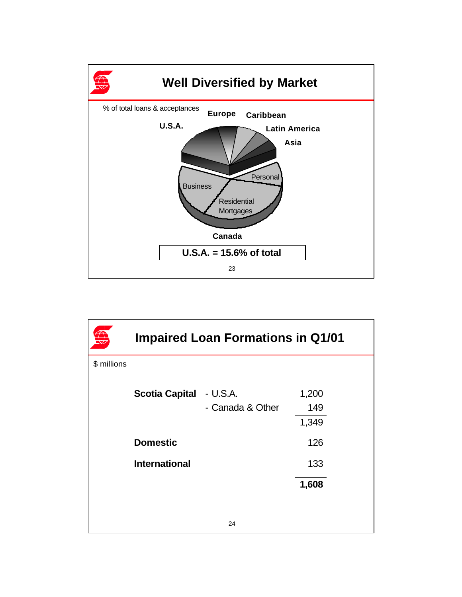

|             | <b>Impaired Loan Formations in Q1/01</b> |                  |       |  |  |
|-------------|------------------------------------------|------------------|-------|--|--|
| \$ millions |                                          |                  |       |  |  |
|             | <b>Scotia Capital</b>                    | - U.S.A.         | 1,200 |  |  |
|             |                                          | - Canada & Other | 149   |  |  |
|             |                                          |                  | 1,349 |  |  |
|             | <b>Domestic</b>                          |                  | 126   |  |  |
|             | <b>International</b>                     |                  | 133   |  |  |
|             |                                          |                  | 1,608 |  |  |
|             |                                          |                  |       |  |  |
|             |                                          | 24               |       |  |  |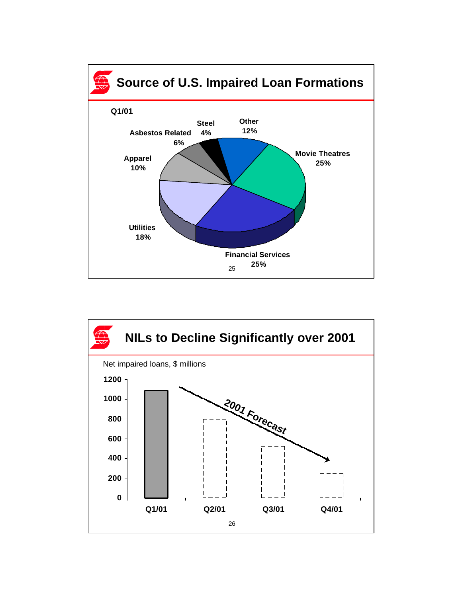

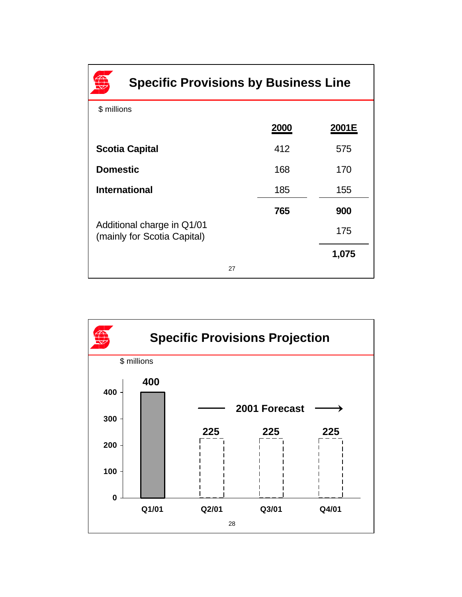| <b>Specific Provisions by Business Line</b>               |      |       |  |  |
|-----------------------------------------------------------|------|-------|--|--|
| \$ millions                                               |      |       |  |  |
|                                                           | 2000 | 2001E |  |  |
| <b>Scotia Capital</b>                                     | 412  | 575   |  |  |
| <b>Domestic</b>                                           | 168  | 170   |  |  |
| <b>International</b>                                      | 185  | 155   |  |  |
|                                                           | 765  | 900   |  |  |
| Additional charge in Q1/01<br>(mainly for Scotia Capital) |      | 175   |  |  |
|                                                           |      | 1,075 |  |  |
| 27                                                        |      |       |  |  |

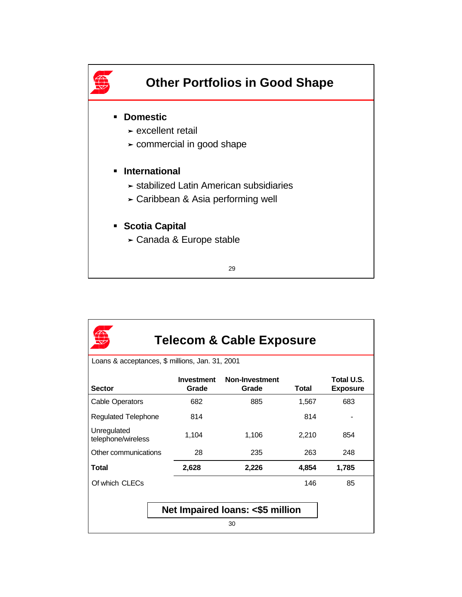

| <b>Telecom &amp; Cable Exposure</b>             |                            |                         |       |                               |  |  |
|-------------------------------------------------|----------------------------|-------------------------|-------|-------------------------------|--|--|
| Loans & acceptances, \$ millions, Jan. 31, 2001 |                            |                         |       |                               |  |  |
| <b>Sector</b>                                   | <b>Investment</b><br>Grade | Non-Investment<br>Grade | Total | Total U.S.<br><b>Exposure</b> |  |  |
| Cable Operators                                 | 682                        | 885                     | 1,567 | 683                           |  |  |
| <b>Regulated Telephone</b>                      | 814                        |                         | 814   |                               |  |  |
| Unregulated<br>telephone/wireless               | 1,104                      | 1,106                   | 2,210 | 854                           |  |  |
| Other communications                            | 28                         | 235                     | 263   | 248                           |  |  |
| Total                                           | 2,628                      | 2,226                   | 4,854 | 1,785                         |  |  |
| Of which CLECs                                  |                            |                         | 146   | 85                            |  |  |
| Net Impaired Ioans: <\$5 million<br>30          |                            |                         |       |                               |  |  |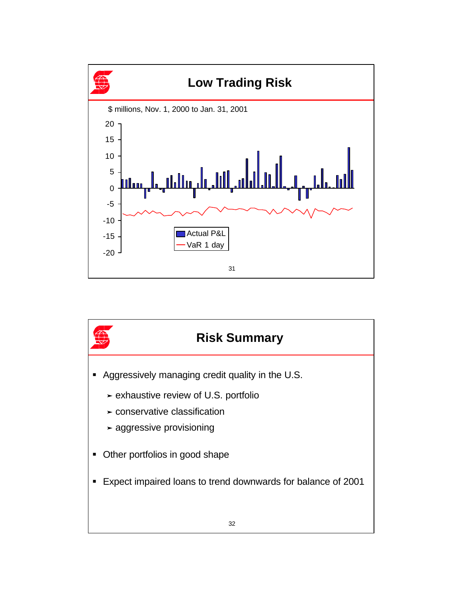

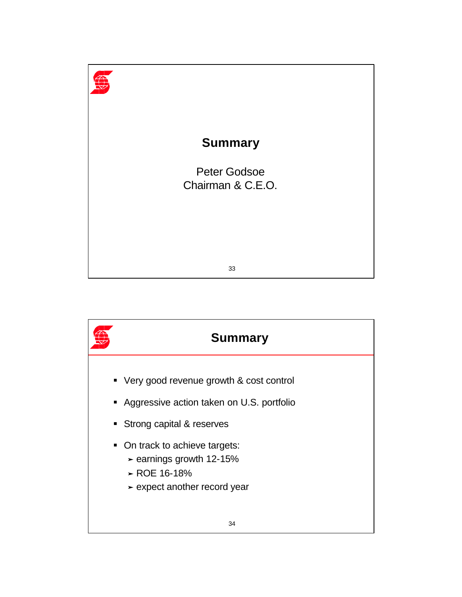